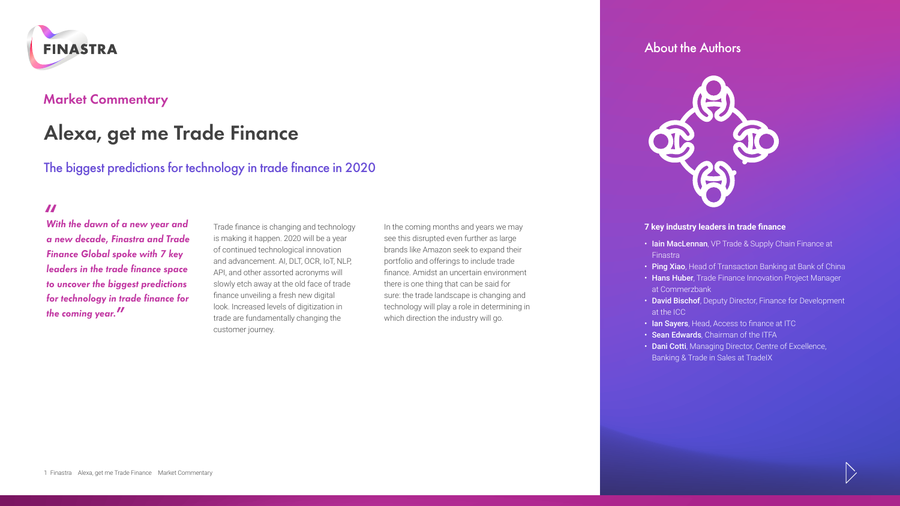

# **Market Commentary**

# **Alexa, get me Trade Finance**

The biggest predictions for technology in trade finance in 2020

**"** *With the dawn of a new year and a new decade, Finastra and Trade Finance Global spoke with 7 key leaders in the trade finance space to uncover the biggest predictions for technology in trade finance for the coming year.***"**

Trade finance is changing and technology is making it happen. 2020 will be a year of continued technological innovation and advancement. AI, DLT, OCR, IoT, NLP, API, and other assorted acronyms will slowly etch away at the old face of trade finance unveiling a fresh new digital look. Increased levels of digitization in trade are fundamentally changing the customer journey.

In the coming months and years we may see this disrupted even further as large brands like Amazon seek to expand their portfolio and offerings to include trade finance. Amidst an uncertain environment there is one thing that can be said for sure: the trade landscape is changing and technology will play a role in determining in which direction the industry will go.

## About the Authors



## **7 key industry leaders in trade finance**

- Iain MacLennan, VP Trade & Supply Chain Finance at **Finastra**
- Ping Xiao, Head of Transaction Banking at Bank of China
- Hans Huber, Trade Finance Innovation Project Manager at Commerzbank
- David Bischof, Deputy Director, Finance for Development at the ICC
- Ian Sayers, Head, Access to finance at ITC
- Sean Edwards, Chairman of the ITFA
- Dani Cotti, Managing Director, Centre of Excellence, Banking & Trade in Sales at TradeIX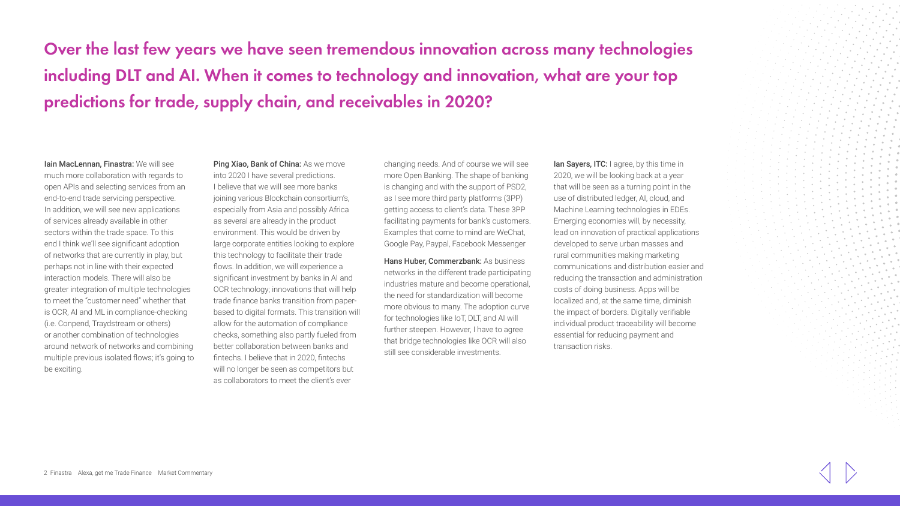**Over the last few years we have seen tremendous innovation across many technologies including DLT and AI. When it comes to technology and innovation, what are your top predictions for trade, supply chain, and receivables in 2020?**

Iain MacLennan, Finastra: We will see

much more collaboration with regards to open APIs and selecting services from an end-to-end trade servicing perspective. In addition, we will see new applications of services already available in other sectors within the trade space. To this end I think we'll see significant adoption of networks that are currently in play, but perhaps not in line with their expected interaction models. There will also be greater integration of multiple technologies to meet the "customer need" whether that is OCR, AI and ML in compliance-checking (i.e. Conpend, Traydstream or others) or another combination of technologies around network of networks and combining multiple previous isolated flows; it's going to be exciting.

Ping Xiao, Bank of China: As we move into 2020 I have several predictions. I believe that we will see more banks joining various Blockchain consortium's, especially from Asia and possibly Africa as several are already in the product environment. This would be driven by large corporate entities looking to explore this technology to facilitate their trade flows. In addition, we will experience a significant investment by banks in AI and OCR technology; innovations that will help trade finance banks transition from paperbased to digital formats. This transition will allow for the automation of compliance checks, something also partly fueled from better collaboration between banks and fintechs. I believe that in 2020, fintechs will no longer be seen as competitors but as collaborators to meet the client's ever

changing needs. And of course we will see more Open Banking. The shape of banking is changing and with the support of PSD2, as I see more third party platforms (3PP) getting access to client's data. These 3PP facilitating payments for bank's customers. Examples that come to mind are WeChat, Google Pay, Paypal, Facebook Messenger

Hans Huber, Commerzbank: As business networks in the different trade participating in[du](http://www.finastra.com/)stries mature and become operational, the need for standardization will become more obvious to many. The adoption curve for technologies like IoT, DLT, and AI will further steepen. However, I have to agree that bridge technologies like OCR will also still see considerable investments.

Ian Sayers, ITC: I agree, by this time in 2020, we will be looking back at a year that will be seen as a turning point in the use of distributed ledger, AI, cloud, and Machine Learning technologies in EDEs. Emerging economies will, by necessity, lead on innovation of practical applications developed to serve urban masses and rural communities making marketing communications and distribution easier and reducing the transaction and administration costs of doing business. Apps will be localized and, at the same time, diminish the impact of borders. Digitally verifiable individual product traceability will become essential for reducing payment and transaction risks.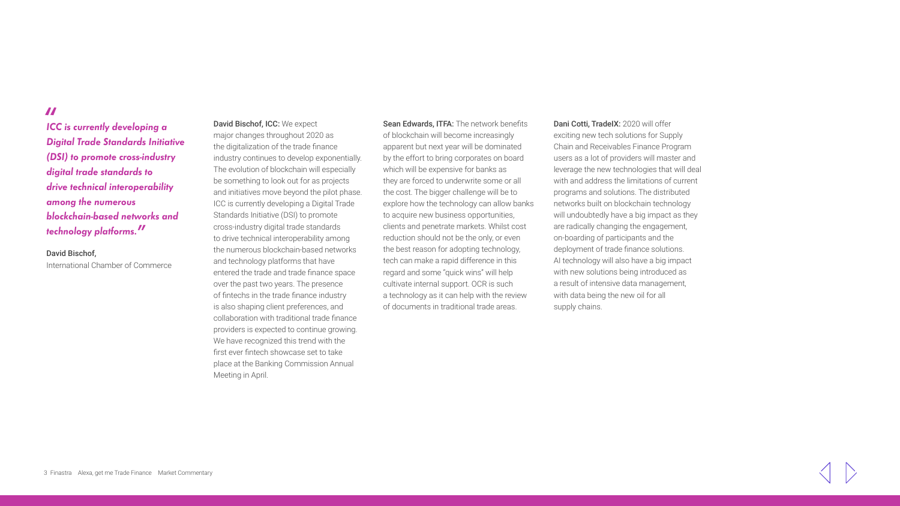**"** *ICC is currently developing a Digital Trade Standards Initiative (DSI) to promote cross-industry digital trade standards to drive technical interoperability among the numerous blockchain-based networks and technology platforms.***"**

David Bischof, International Chamber of Commerce

David Bischof, ICC: We expect major changes throughout 2020 as the digitalization of the trade finance industry continues to develop exponentially. The evolution of blockchain will especially be something to look out for as projects and initiatives move beyond the pilot phase. ICC is currently developing a Digital Trade Standards Initiative (DSI) to promote cross-industry digital trade standards to drive technical interoperability among the numerous blockchain-based networks and technology platforms that have entered the trade and trade finance space over the past two years. The presence of fintechs in the trade finance industry is also shaping client preferences, and collaboration with traditional trade finance providers is expected to continue growing. We have recognized this trend with the first ever fintech showcase set to take place at the Banking Commission Annual Meeting in April.

Sean Edwards, ITFA: The network benefits of blockchain will become increasingly apparent but next year will be dominated by the effort to bring corporates on board which will be expensive for banks as they are forced to underwrite some or all the cost. The bigger challenge will be to explore how the technology can allow banks to acquire new business opportunities, clients and penetrate markets. Whilst cost reduction should not be the only, or even the best reason for adopting technology, tech can make a rapid difference in this regard and some "quick wins" will help cu[lt](http://www.finastra.com/)ivate internal support. OCR is such a technology as it can help with the review of documents in traditional trade areas.

Dani Cotti, TradeIX: 2020 will offer exciting new tech solutions for Supply Chain and Receivables Finance Program users as a lot of providers will master and leverage the new technologies that will deal with and address the limitations of current programs and solutions. The distributed networks built on blockchain technology will undoubtedly have a big impact as they are radically changing the engagement, on-boarding of participants and the deployment of trade finance solutions. AI technology will also have a big impact with new solutions being introduced as a result of intensive data management, with data being the new oil for all supply chains.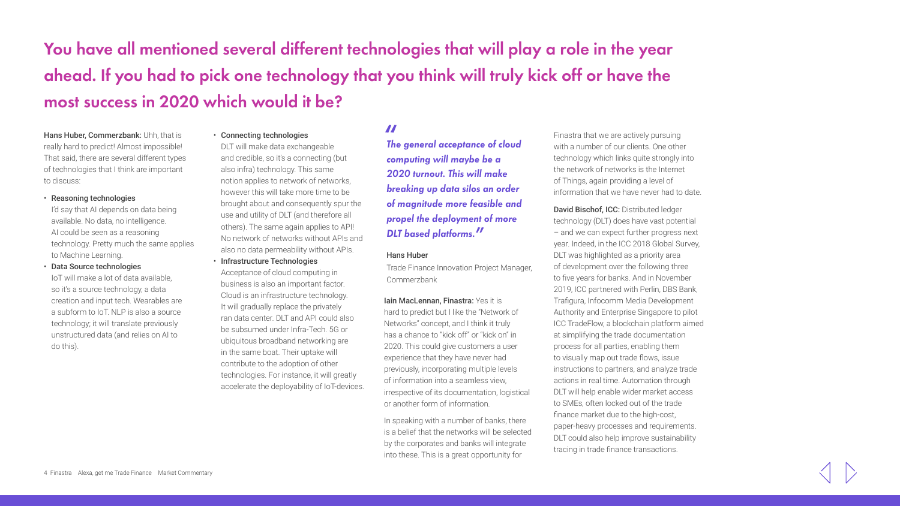# **You have all mentioned several different technologies that will play a role in the year ahead. If you had to pick one technology that you think will truly kick off or have the most success in 2020 which would it be?**

Hans Huber, Commerzbank: Uhh, that is really hard to predict! Almost impossible! That said, there are several different types of technologies that I think are important to discuss:

### • Reasoning technologies

I'd say that AI depends on data being available. No data, no intelligence. AI could be seen as a reasoning technology. Pretty much the same applies to Machine Learning.

• Data Source technologies IoT will make a lot of data available, so it's a source technology, a data creation and input tech. Wearables are a subform to IoT. NLP is also a source technology; it will translate previously unstructured data (and relies on AI to do this).

### • Connecting technologies

DLT will make data exchangeable and credible, so it's a connecting (but also infra) technology. This same notion applies to network of networks, however this will take more time to be brought about and consequently spur the use and utility of DLT (and therefore all others). The same again applies to API! No network of networks without APIs and also no data permeability without APIs.

• Infrastructure Technologies Acceptance of cloud computing in business is also an important factor. Cloud is an infrastructure technology. It will gradually replace the privately ran data center. DLT and API could also be subsumed under Infra-Tech. 5G or ubiquitous broadband networking are in the same boat. Their uptake will contribute to the adoption of other technologies. For instance, it will greatly accelerate the deployability of IoT-devices.

# **"** *The general acceptance of cloud computing will maybe be a 2020 turnout. This will make breaking up data silos an order of magnitude more feasible and propel the deployment of more DLT based platforms.***"**

### Hans Huber

Trade Finance Innovation Project Manager, C[o](http://www.finastra.com/)mmerzbank

Iain MacLennan, Finastra: Yes it is hard to predict but I like the "Network of Networks" concept, and I think it truly has a chance to "kick off" or "kick on" in 2020. This could give customers a user experience that they have never had previously, incorporating multiple levels of information into a seamless view, irrespective of its documentation, logistical or another form of information.

In speaking with a number of banks, there is a belief that the networks will be selected by the corporates and banks will integrate into these. This is a great opportunity for

Finastra that we are actively pursuing with a number of our clients. One other technology which links quite strongly into the network of networks is the Internet of Things, again providing a level of information that we have never had to date.

David Bischof, ICC: Distributed ledger technology (DLT) does have vast potential – and we can expect further progress next year. Indeed, in the ICC 2018 Global Survey, DLT was highlighted as a priority area of development over the following three to five years for banks. And in November 2019, ICC partnered with Perlin, DBS Bank, Trafigura, Infocomm Media Development Authority and Enterprise Singapore to pilot ICC TradeFlow, a blockchain platform aimed at simplifying the trade documentation process for all parties, enabling them to visually map out trade flows, issue instructions to partners, and analyze trade actions in real time. Automation through DLT will help enable wider market access to SMEs, often locked out of the trade finance market due to the high-cost, paper-heavy processes and requirements. DLT could also help improve sustainability tracing in trade finance transactions.